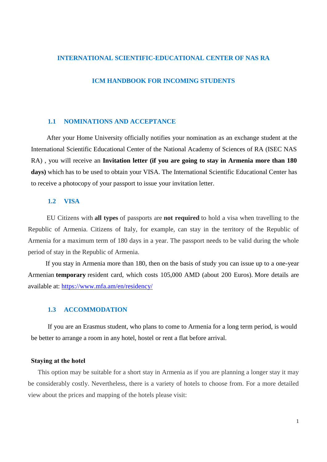### **INTERNATIONAL SCIENTIFIC-EDUCATIONAL CENTER OF NAS RA**

### **ICM HANDBOOK FOR INCOMING STUDENTS**

#### **1.1 NOMINATIONS AND ACCEPTANCE**

After your Home University officially notifies your nomination as an exchange student at the International Scientific Educational Center of the National Academy of Sciences of RA (ISEC NAS RA) , you will receive an **Invitation letter (if you are going to stay in Armenia more than 180**  days) which has to be used to obtain your VISA. The International Scientific Educational Center has to receive a photocopy of your passport to issue your invitation letter.

### **1.2 VISA**

EU Citizens with **all types** of passports are **not required** to hold a visa when travelling to the Republic of Armenia. Citizens of Italy, for example, can stay in the territory of the Republic of Armenia for a maximum term of 180 days in a year. The passport needs to be valid during the whole period of stay in the Republic of Armenia.

If you stay in Armenia more than 180, then on the basis of study you can issue up to a one-year Armenian **temporary** resident card, which costs 105,000 AMD (about 200 Euros). More details are available at:<https://www.mfa.am/en/residency/>

## **1.3 ACCOMMODATION**

If you are an Erasmus student, who plans to come to Armenia for a long term period, is would be better to arrange a room in any hotel, hostel or rent a flat before arrival.

#### **Staying аt the hotel**

This option may be suitable for a short stay in Armenia as if you are planning a longer stay it may be considerably costly. Nevertheless, there is a variety of hotels to choose from. For a more detailed view about the prices and mapping of the hotels please visit: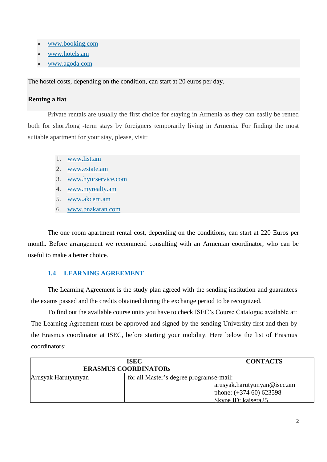- [www.booking.com](https://www.booking.com/)
- [www.hotels.am](http://www.hotels.am/)
- [www.agoda.com](https://www.agoda.com/country/armenia.html?cid=1844104)

The hostel costs, depending on the condition, can start at 20 euros per day.

## **Renting a flat**

Private rentals are usually the first choice for staying in Armenia as they can easily be rented both for short/long -term stays by foreigners temporarily living in Armenia. For finding the most suitable apartment for your stay, please, visit:

- 1. [www.list.am](https://www.list.am/en/)
- 2. [www.estate.am](https://www.estate.am/en)
- 3. [www.hyurservice.com](http://www.hyurservice.com/)
- 4. [www.myrealty.am](https://myrealty.am/en)
- 5. [www.akcern.am](http://akcern.am/en/)
- 6. [www.bnakaran.com](http://www.bnakaran.com/en)

The one room apartment rental cost, depending on the conditions, can start at 220 Euros per month. Before arrangement we recommend consulting with an Armenian coordinator, who can be useful to make a better choice.

## **1.4 LEARNING AGREEMENT**

The Learning Agreement is the study plan agreed with the sending institution and guarantees the exams passed and the credits obtained during the exchange period to be recognized.

To find out the available course units you have to check ISEC's Course Catalogue available at: The Learning Agreement must be approved and signed by the sending University first and then by the Erasmus coordinator at ISEC, before starting your mobility. Here below the list of Erasmus coordinators:

| <b>ISEC</b><br><b>ERASMUS COORDINATORS</b> |                                          | <b>CONTACTS</b>             |
|--------------------------------------------|------------------------------------------|-----------------------------|
|                                            |                                          |                             |
| Arusyak Harutyunyan                        | for all Master's degree programs e-mail: |                             |
|                                            |                                          | arusyak.harutyunyan@isec.am |
|                                            |                                          | phone: $(+374\,60)\,623598$ |
|                                            |                                          | Skype ID: kaisera25         |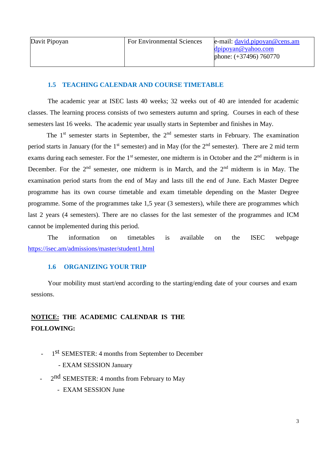## **1.5 TEACHING CALENDAR AND COURSE TIMETABLE**

The academic year at ISEC lasts 40 weeks; 32 weeks out of 40 are intended for academic classes. The learning process consists of two semesters autumn and spring. Courses in each of these semesters last 16 weeks. The academic year usually starts in September and finishes in May.

The  $1<sup>st</sup>$  semester starts in September, the  $2<sup>nd</sup>$  semester starts in February. The examination period starts in January (for the 1<sup>st</sup> semester) and in May (for the  $2<sup>nd</sup>$  semester). There are 2 mid term exams during each semester. For the  $1<sup>st</sup>$  semester, one midterm is in October and the  $2<sup>nd</sup>$  midterm is in December. For the  $2<sup>nd</sup>$  semester, one midterm is in March, and the  $2<sup>nd</sup>$  midterm is in May. The examination period starts from the end of May and lasts till the end of June. Each Master Degree programme has its own course timetable and exam timetable depending on the Master Degree programme. Some of the programmes take 1,5 year (3 semesters), while there are programmes which last 2 years (4 semesters). There are no classes for the last semester of the programmes and ICM cannot be implemented during this period.

The information on timetables is available on the ISEC webpage <https://isec.am/admissions/master/student1.html>

## **1.6 ORGANIZING YOUR TRIP**

Your mobility must start/end according to the starting/ending date of your courses and exam sessions.

## **NOTICE: THE ACADEMIC CALENDAR IS THE FOLLOWING:**

- 1<sup>st</sup> SEMESTER: 4 months from September to December
	- EXAM SESSION January
- 2<sup>nd</sup> SEMESTER: 4 months from February to May
	- EXAM SESSION June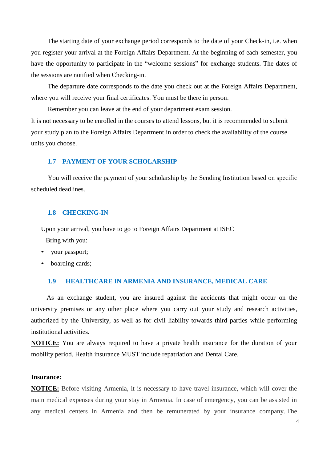The starting date of your exchange period corresponds to the date of your Check-in, i.e. when you register your arrival at the Foreign Affairs Department. At the beginning of each semester, you have the opportunity to participate in the "welcome sessions" for exchange students. The dates of the sessions are notified when Checking-in.

The departure date corresponds to the date you check out at the Foreign Affairs Department, where you will receive your final certificates. You must be there in person.

Remember you can leave at the end of your department exam session.

It is not necessary to be enrolled in the courses to attend lessons, but it is recommended to submit your study plan to the Foreign Affairs Department in order to check the availability of the course units you choose.

### **1.7 PAYMENT OF YOUR SCHOLARSHIP**

You will receive the payment of your scholarship by the Sending Institution based on specific scheduled deadlines.

#### **1.8 CHECKING-IN**

Upon your arrival, you have to go to Foreign Affairs Department at ISEC

Bring with you:

- your passport;
- boarding cards;

## **1.9 HEALTHCARE IN ARMENIA AND INSURANCE, MEDICAL CARE**

As an exchange student, you are insured against the accidents that might occur on the university premises or any other place where you carry out your study and research activities, authorized by the University, as well as for civil liability towards third parties while performing institutional activities.

**NOTICE:** You are always required to have a private health insurance for the duration of your mobility period. Health insurance MUST include repatriation and Dental Care.

#### **Insurance:**

**NOTICE:** Before visiting Armenia, it is necessary to have travel insurance, which will cover the main medical expenses during your stay in Armenia. In case of emergency, you can be assisted in any medical centers in Armenia and then be remunerated by your insurance company. The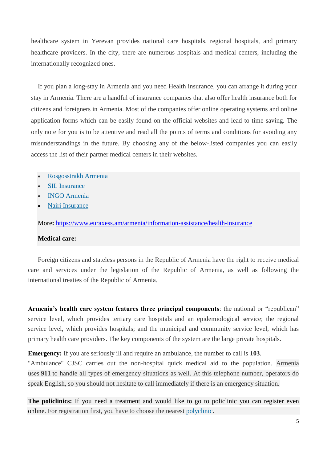healthcare system in Yerevan provides national care hospitals, regional hospitals, and primary healthcare providers. In the city, there are numerous hospitals and medical centers, including the internationally recognized ones.

If you plan a long-stay in Armenia and you need Health insurance, you can arrange it during your stay in Armenia. There are a handful of insurance companies that also offer health insurance both for citizens and foreigners in Armenia. Most of the companies offer online operating systems and online application forms which can be easily found on the official websites and lead to time-saving. The only note for you is to be attentive and read all the points of terms and conditions for avoiding any misunderstandings in the future. By choosing any of the below-listed companies you can easily access the list of their partner medical centers in their websites.

- [Rosgosstrakh Armenia](https://www.rgs.am/en)
- [SIL Insurance](http://www.silinsurance.am/en/home.html)
- [INGO Armenia](https://ingoarmenia.am/?lang=en)
- **[Nairi Insurance](https://www.nairi-insurance.am/switch.php?lang=eng)**

More**:** <https://www.euraxess.am/armenia/information-assistance/health-insurance>

#### **Medical care:**

Foreign citizens and stateless persons in the Republic of Armenia have the right to receive medical care and services under the legislation of the Republic of Armenia, as well as following the international treaties of the Republic of Armenia.

**Armenia's health care system features three principal components**: the national or "republican" service level, which provides tertiary care hospitals and an epidemiological service; the regional service level, which provides hospitals; and the municipal and community service level, which has primary health care providers. The key components of the system are the large private hospitals.

**Emergency:** If you are seriously ill and require an ambulance, the number to call is **103**.

"Ambulance" CJSC carries out the non-hospital quick medical aid to the population. Armenia uses **911** to handle all types of emergency situations as well. At this telephone number, operators do speak English, so you should not hesitate to call immediately if there is an emergency situation.

**The policlinics:** If you need a treatment and would like to go to policlinic you can register even online. For registration first, you have to choose the nearest [polyclinic.](https://www.pages.am/health-care-social-assistance/medical-facilities-diagnostics-laboratories/polyclinics/)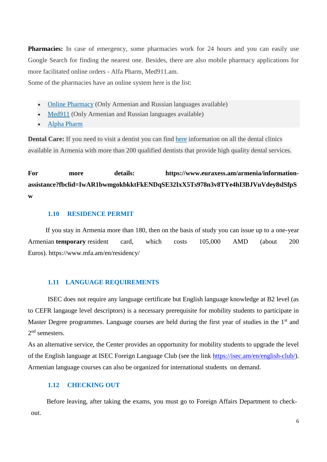**Pharmacies:** In case of emergency, some pharmacies work for 24 hours and you can easily use Google Search for finding the nearest one. Besides, there are also mobile pharmacy applications for more facilitated online orders - Alfa Pharm, Med911.am.

Some of the pharmacies have an online system here is the list:

- [Online Pharmacy](http://www.online-apteka.am/) (Only Armenian and Russian languages available)
- [Med911](http://www.med911.am/) (Only Armenian and Russian languages available)
- [Alpha Pharm](http://alfapharm.am/en)

**Dental Care:** If you need to visit a dentist you can find [here](https://zub.am/de_ntals?p=4&lang=en) information on all the dental clinics available in Armenia with more than 200 qualified dentists that provide high quality dental services.

# **For more details: https://www.euraxess.am/armenia/informationassistance?fbclid=IwAR1bwmgokbkktFkENDqSE32IxX5Ts978n3v8TYe4hI3BJVuVdey8slSfpS w**

## **1.10 RESIDENCE PERMIT**

If you stay in Armenia more than 180, then on the basis of study you can issue up to a one-year Armenian **temporary** resident card, which costs 105,000 AMD (about 200 Euros). <https://www.mfa.am/en/residency/>

## **1.11 LANGUAGE REQUIREMENTS**

ISEC does not require any language certificate but English language knowledge at B2 level (as to CEFR langauge level descriptors) is a necessary prerequisite for mobility students to participate in Master Degree programmes. Language courses are held during the first year of studies in the 1<sup>st</sup> and 2<sup>nd</sup> semesters.

As an alternative service, the Center provides an opportunity for mobility students to upgrade the level of the English language at ISEC Foreign Language Club (see the link [https://isec.am/en/english-club/\)](https://isec.am/en/english-club/). Armenian language courses can also be organized for international students on demand.

## **1.12 CHECKING OUT**

Before leaving, after taking the exams, you must go to Foreign Affairs Department to checkout.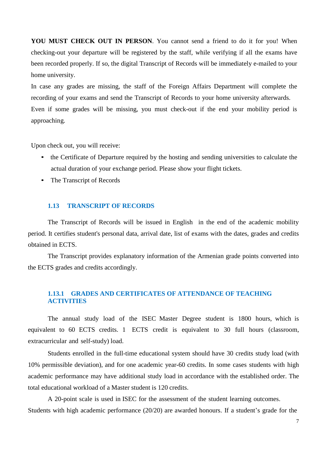**YOU MUST CHECK OUT IN PERSON**. You cannot send a friend to do it for you! When checking-out your departure will be registered by the staff, while verifying if all the exams have been recorded properly. If so, the digital Transcript of Records will be immediately e-mailed to your home university.

In case any grades are missing, the staff of the Foreign Affairs Department will complete the recording of your exams and send the Transcript of Records to your home university afterwards. Even if some grades will be missing, you must check-out if the end your mobility period is approaching.

Upon check out, you will receive:

- the Certificate of Departure required by the hosting and sending universities to calculate the actual duration of your exchange period. Please show your flight tickets.
- The Transcript of Records

#### **1.13 TRANSCRIPT OF RECORDS**

The Transcript of Records will be issued in English in the end of the academic mobility period. It certifies student's personal data, arrival date, list of exams with the dates, grades and credits obtained in ECTS.

The Transcript provides explanatory information of the Armenian grade points converted into the ECTS grades and credits accordingly.

## **1.13.1 GRADES AND CERTIFICATES OF ATTENDANCE OF TEACHING ACTIVITIES**

The annual study load of the ISEC Master Degree student is 1800 hours, which is equivalent to 60 ECTS credits. 1 ECTS credit is equivalent to 30 full hours (classroom, extracurricular and self-study) load.

Students enrolled in the full-time educational system should have 30 credits study load (with 10% permissible deviation), and for one academic year-60 credits. In some cases students with high academic performance may have additional study load in accordance with the established order. The total educational workload of a Master student is 120 credits.

A 20-point scale is used in ISEC for the assessment of the student learning outcomes. Students with high academic performance (20/20) are awarded honours. If a student's grade for the